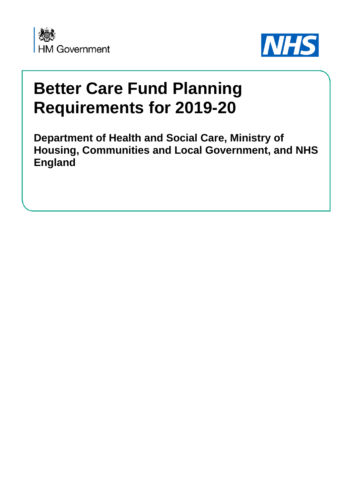

L



# **Better Care Fund Planning Requirements for 2019-20**

**Department of Health and Social Care, Ministry of Housing, Communities and Local Government, and NHS England**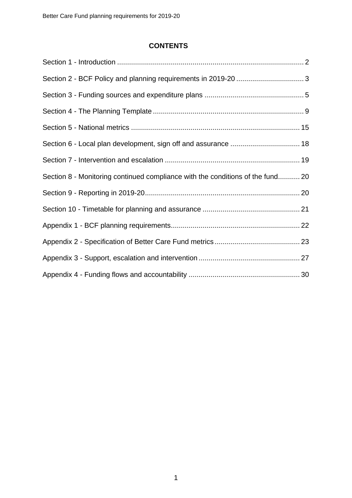# **CONTENTS**

| Section 6 - Local plan development, sign off and assurance  18                 |  |
|--------------------------------------------------------------------------------|--|
|                                                                                |  |
| Section 8 - Monitoring continued compliance with the conditions of the fund 20 |  |
|                                                                                |  |
|                                                                                |  |
|                                                                                |  |
|                                                                                |  |
|                                                                                |  |
|                                                                                |  |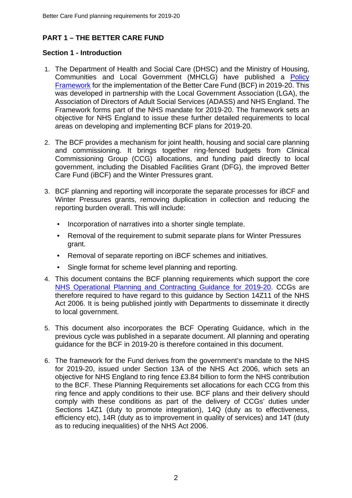# **PART 1 – THE BETTER CARE FUND**

# **Section 1 - Introduction**

- 1. The Department of Health and Social Care (DHSC) and the Ministry of Housing, Communities and Local Government (MHCLG) have published a [Policy](https://www.gov.uk/government/publications/better-care-fund-how-it-will-work-in-2019-to-2020)  [Framework](https://www.gov.uk/government/publications/better-care-fund-how-it-will-work-in-2019-to-2020) for the implementation of the Better Care Fund (BCF) in 2019-20. This was developed in partnership with the Local Government Association (LGA), the Association of Directors of Adult Social Services (ADASS) and NHS England. The Framework forms part of the NHS mandate for 2019-20. The framework sets an objective for NHS England to issue these further detailed requirements to local areas on developing and implementing BCF plans for 2019-20.
- 2. The BCF provides a mechanism for joint health, housing and social care planning and commissioning. It brings together ring-fenced budgets from Clinical Commissioning Group (CCG) allocations, and funding paid directly to local government, including the Disabled Facilities Grant (DFG), the improved Better Care Fund (iBCF) and the Winter Pressures grant.
- 3. BCF planning and reporting will incorporate the separate processes for iBCF and Winter Pressures grants, removing duplication in collection and reducing the reporting burden overall. This will include:
	- Incorporation of narratives into a shorter single template.
	- Removal of the requirement to submit separate plans for Winter Pressures grant.
	- Removal of separate reporting on iBCF schemes and initiatives.
	- Single format for scheme level planning and reporting.
- 4. This document contains the BCF planning requirements which support the core NHS Operational Planning [and Contracting Guidance for 2019-20.](https://www.england.nhs.uk/publication/preparing-for-2019-20-operational-planning-and-contracting) CCGs are therefore required to have regard to this guidance by Section 14Z11 of the NHS Act 2006. It is being published jointly with Departments to disseminate it directly to local government.
- 5. This document also incorporates the BCF Operating Guidance, which in the previous cycle was published in a separate document. All planning and operating guidance for the BCF in 2019-20 is therefore contained in this document.
- 6. The framework for the Fund derives from the government's mandate to the NHS for 2019-20, issued under Section 13A of the NHS Act 2006, which sets an objective for NHS England to ring fence £3.84 billion to form the NHS contribution to the BCF. These Planning Requirements set allocations for each CCG from this ring fence and apply conditions to their use. BCF plans and their delivery should comply with these conditions as part of the delivery of CCGs' duties under Sections 14Z1 (duty to promote integration), 14Q (duty as to effectiveness, efficiency etc), 14R (duty as to improvement in quality of services) and 14T (duty as to reducing inequalities) of the NHS Act 2006.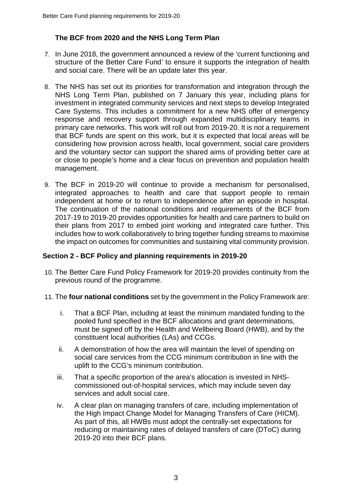# **The BCF from 2020 and the NHS Long Term Plan**

- 7. In June 2018, the government announced a review of the 'current functioning and structure of the Better Care Fund*'* to ensure it supports the integration of health and social care. There will be an update later this year.
- 8. The NHS has set out its priorities for transformation and integration through the NHS Long Term Plan, published on 7 January this year, including plans for investment in integrated community services and next steps to develop Integrated Care Systems. This includes a commitment for a new NHS offer of emergency response and recovery support through expanded multidisciplinary teams in primary care networks. This work will roll out from 2019-20. It is not a requirement that BCF funds are spent on this work, but it is expected that local areas will be considering how provision across health, local government, social care providers and the voluntary sector can support the shared aims of providing better care at or close to people's home and a clear focus on prevention and population health management.
- 9. The BCF in 2019-20 will continue to provide a mechanism for personalised, integrated approaches to health and care that support people to remain independent at home or to return to independence after an episode in hospital. The continuation of the national conditions and requirements of the BCF from 2017-19 to 2019-20 provides opportunities for health and care partners to build on their plans from 2017 to embed joint working and integrated care further. This includes how to work collaboratively to bring together funding streams to maximise the impact on outcomes for communities and sustaining vital community provision.

# **Section 2 - BCF Policy and planning requirements in 2019-20**

- 10. The Better Care Fund Policy Framework for 2019-20 provides continuity from the previous round of the programme.
- 11. The **four national conditions** set by the government in the Policy Framework are:
	- i. That a BCF Plan, including at least the minimum mandated funding to the pooled fund specified in the BCF allocations and grant determinations, must be signed off by the Health and Wellbeing Board (HWB), and by the constituent local authorities (LAs) and CCGs.
	- ii. A demonstration of how the area will maintain the level of spending on social care services from the CCG minimum contribution in line with the uplift to the CCG's minimum contribution.
	- iii. That a specific proportion of the area's allocation is invested in NHScommissioned out-of-hospital services, which may include seven day services and adult social care.
	- iv. A clear plan on managing transfers of care, including implementation of the High Impact Change Model for Managing Transfers of Care (HICM). As part of this, all HWBs must adopt the centrally-set expectations for reducing or maintaining rates of delayed transfers of care (DToC) during 2019-20 into their BCF plans.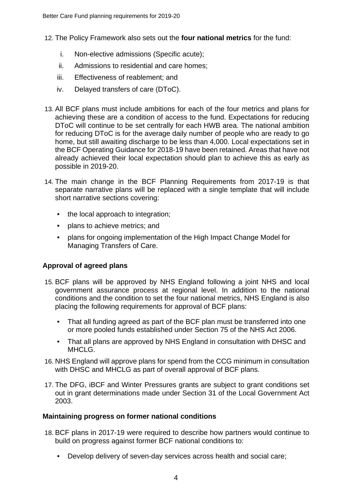- 12. The Policy Framework also sets out the **four national metrics** for the fund:
	- i. Non-elective admissions (Specific acute);
	- ii. Admissions to residential and care homes;
	- iii. Effectiveness of reablement; and
	- iv. Delayed transfers of care (DToC).
- 13. All BCF plans must include ambitions for each of the four metrics and plans for achieving these are a condition of access to the fund. Expectations for reducing DToC will continue to be set centrally for each HWB area. The national ambition for reducing DToC is for the average daily number of people who are ready to go home, but still awaiting discharge to be less than 4,000. Local expectations set in the BCF Operating Guidance for 2018-19 have been retained. Areas that have not already achieved their local expectation should plan to achieve this as early as possible in 2019-20.
- 14. The main change in the BCF Planning Requirements from 2017-19 is that separate narrative plans will be replaced with a single template that will include short narrative sections covering:
	- the local approach to integration:
	- plans to achieve metrics; and
	- plans for ongoing implementation of the High Impact Change Model for Managing Transfers of Care.

# **Approval of agreed plans**

- 15. BCF plans will be approved by NHS England following a joint NHS and local government assurance process at regional level. In addition to the national conditions and the condition to set the four national metrics, NHS England is also placing the following requirements for approval of BCF plans:
	- That all funding agreed as part of the BCF plan must be transferred into one or more pooled funds established under Section 75 of the NHS Act 2006.
	- That all plans are approved by NHS England in consultation with DHSC and MHCLG.
- 16. NHS England will approve plans for spend from the CCG minimum in consultation with DHSC and MHCLG as part of overall approval of BCF plans.
- 17. The DFG, iBCF and Winter Pressures grants are subject to grant conditions set out in grant determinations made under Section 31 of the Local Government Act 2003.

#### **Maintaining progress on former national conditions**

- 18. BCF plans in 2017-19 were required to describe how partners would continue to build on progress against former BCF national conditions to:
	- Develop delivery of seven-day services across health and social care;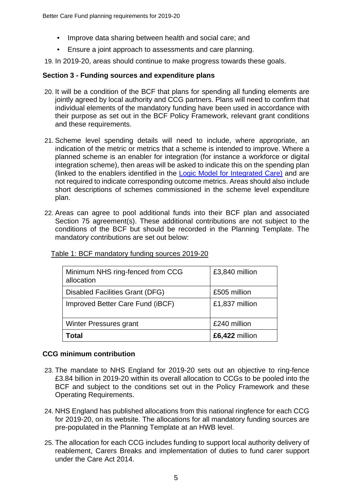- Improve data sharing between health and social care; and
- Ensure a joint approach to assessments and care planning.

19. In 2019-20, areas should continue to make progress towards these goals.

#### **Section 3 - Funding sources and expenditure plans**

- 20. It will be a condition of the BCF that plans for spending all funding elements are jointly agreed by local authority and CCG partners. Plans will need to confirm that individual elements of the mandatory funding have been used in accordance with their purpose as set out in the BCF Policy Framework, relevant grant conditions and these requirements.
- 21. Scheme level spending details will need to include, where appropriate, an indication of the metric or metrics that a scheme is intended to improve. Where a planned scheme is an enabler for integration (for instance a workforce or digital integration scheme), then areas will be asked to indicate this on the spending plan (linked to the enablers identified in the [Logic Model for Integrated Care\)](https://www.scie.org.uk/integrated-health-social-care/measuring-progress/logic-model) and are not required to indicate corresponding outcome metrics. Areas should also include short descriptions of schemes commissioned in the scheme level expenditure plan.
- 22. Areas can agree to pool additional funds into their BCF plan and associated Section 75 agreement(s). These additional contributions are not subject to the conditions of the BCF but should be recorded in the Planning Template. The mandatory contributions are set out below:

| Minimum NHS ring-fenced from CCG<br>allocation | £3,840 million |
|------------------------------------------------|----------------|
| Disabled Facilities Grant (DFG)                | £505 million   |
| Improved Better Care Fund (iBCF)               | £1,837 million |
| Winter Pressures grant                         | £240 million   |
| Total                                          | £6,422 million |

Table 1: BCF mandatory funding sources 2019-20

#### **CCG minimum contribution**

- 23. The mandate to NHS England for 2019-20 sets out an objective to ring-fence £3.84 billion in 2019-20 within its overall allocation to CCGs to be pooled into the BCF and subject to the conditions set out in the Policy Framework and these Operating Requirements.
- 24. NHS England has published allocations from this national ringfence for each CCG for 2019-20, on its website. The allocations for all mandatory funding sources are pre-populated in the Planning Template at an HWB level.
- 25. The allocation for each CCG includes funding to support local authority delivery of reablement, Carers Breaks and implementation of duties to fund carer support under the Care Act 2014.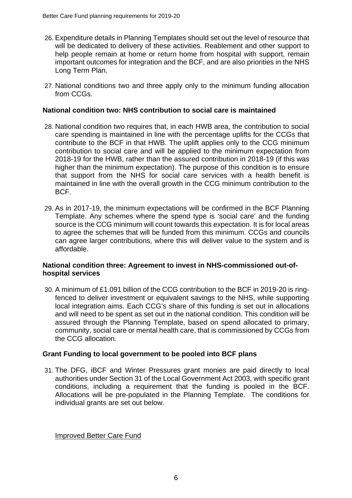- 26. Expenditure details in Planning Templates should set out the level of resource that will be dedicated to delivery of these activities. Reablement and other support to help people remain at home or return home from hospital with support, remain important outcomes for integration and the BCF, and are also priorities in the NHS Long Term Plan.
- 27. National conditions two and three apply only to the minimum funding allocation from CCGs.

#### **National condition two: NHS contribution to social care is maintained**

- 28. National condition two requires that, in each HWB area, the contribution to social care spending is maintained in line with the percentage uplifts for the CCGs that contribute to the BCF in that HWB. The uplift applies only to the CCG minimum contribution to social care and will be applied to the minimum expectation from 2018-19 for the HWB, rather than the assured contribution in 2018-19 (if this was higher than the minimum expectation). The purpose of this condition is to ensure that support from the NHS for social care services with a health benefit is maintained in line with the overall growth in the CCG minimum contribution to the BCF.
- 29. As in 2017-19, the minimum expectations will be confirmed in the BCF Planning Template. Any schemes where the spend type is 'social care' and the funding source is the CCG minimum will count towards this expectation. It is for local areas to agree the schemes that will be funded from this minimum. CCGs and councils can agree larger contributions, where this will deliver value to the system and is affordable.

#### **National condition three: Agreement to invest in NHS-commissioned out-ofhospital services**

30. A minimum of £1.091 billion of the CCG contribution to the BCF in 2019-20 is ringfenced to deliver investment or equivalent savings to the NHS, while supporting local integration aims. Each CCG's share of this funding is set out in allocations and will need to be spent as set out in the national condition. This condition will be assured through the Planning Template, based on spend allocated to primary, community, social care or mental health care, that is commissioned by CCGs from the CCG allocation.

#### **Grant Funding to local government to be pooled into BCF plans**

31. The DFG, iBCF and Winter Pressures grant monies are paid directly to local authorities under Section 31 of the Local Government Act 2003, with specific grant conditions, including a requirement that the funding is pooled in the BCF. Allocations will be pre-populated in the Planning Template. The conditions for individual grants are set out below.

Improved Better Care Fund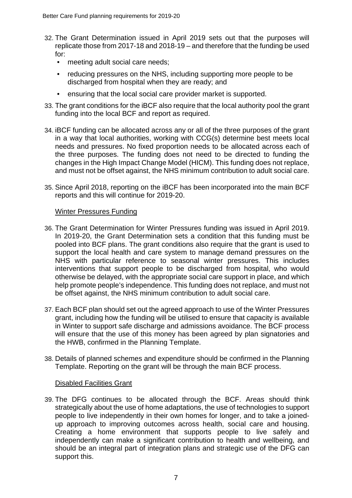- 32. The Grant Determination issued in April 2019 sets out that the purposes will replicate those from 2017-18 and 2018-19 – and therefore that the funding be used for:
	- meeting adult social care needs;
	- reducing pressures on the NHS, including supporting more people to be discharged from hospital when they are ready; and
	- ensuring that the local social care provider market is supported.
- 33. The grant conditions for the iBCF also require that the local authority pool the grant funding into the local BCF and report as required.
- 34. iBCF funding can be allocated across any or all of the three purposes of the grant in a way that local authorities, working with CCG(s) determine best meets local needs and pressures. No fixed proportion needs to be allocated across each of the three purposes. The funding does not need to be directed to funding the changes in the High Impact Change Model (HICM). This funding does not replace, and must not be offset against, the NHS minimum contribution to adult social care.
- 35. Since April 2018, reporting on the iBCF has been incorporated into the main BCF reports and this will continue for 2019-20.

#### Winter Pressures Funding

- 36. The Grant Determination for Winter Pressures funding was issued in April 2019. In 2019-20, the Grant Determination sets a condition that this funding must be pooled into BCF plans. The grant conditions also require that the grant is used to support the local health and care system to manage demand pressures on the NHS with particular reference to seasonal winter pressures. This includes interventions that support people to be discharged from hospital, who would otherwise be delayed, with the appropriate social care support in place, and which help promote people's independence. This funding does not replace, and must not be offset against, the NHS minimum contribution to adult social care.
- 37. Each BCF plan should set out the agreed approach to use of the Winter Pressures grant, including how the funding will be utilised to ensure that capacity is available in Winter to support safe discharge and admissions avoidance. The BCF process will ensure that the use of this money has been agreed by plan signatories and the HWB, confirmed in the Planning Template.
- 38. Details of planned schemes and expenditure should be confirmed in the Planning Template. Reporting on the grant will be through the main BCF process.

#### Disabled Facilities Grant

39. The DFG continues to be allocated through the BCF. Areas should think strategically about the use of home adaptations, the use of technologies to support people to live independently in their own homes for longer, and to take a joinedup approach to improving outcomes across health, social care and housing. Creating a home environment that supports people to live safely and independently can make a significant contribution to health and wellbeing, and should be an integral part of integration plans and strategic use of the DFG can support this.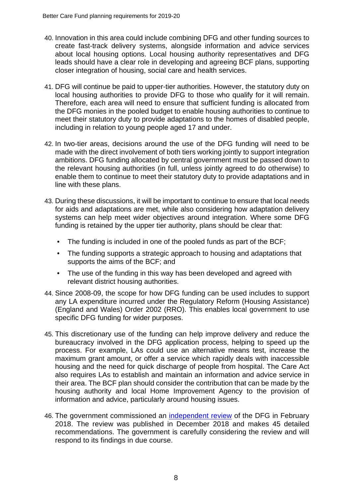- 40. Innovation in this area could include combining DFG and other funding sources to create fast-track delivery systems, alongside information and advice services about local housing options. Local housing authority representatives and DFG leads should have a clear role in developing and agreeing BCF plans, supporting closer integration of housing, social care and health services.
- 41. DFG will continue be paid to upper-tier authorities. However, the statutory duty on local housing authorities to provide DFG to those who qualify for it will remain. Therefore, each area will need to ensure that sufficient funding is allocated from the DFG monies in the pooled budget to enable housing authorities to continue to meet their statutory duty to provide adaptations to the homes of disabled people, including in relation to young people aged 17 and under.
- 42. In two-tier areas, decisions around the use of the DFG funding will need to be made with the direct involvement of both tiers working jointly to support integration ambitions. DFG funding allocated by central government must be passed down to the relevant housing authorities (in full, unless jointly agreed to do otherwise) to enable them to continue to meet their statutory duty to provide adaptations and in line with these plans.
- 43. During these discussions, it will be important to continue to ensure that local needs for aids and adaptations are met, while also considering how adaptation delivery systems can help meet wider objectives around integration. Where some DFG funding is retained by the upper tier authority, plans should be clear that:
	- The funding is included in one of the pooled funds as part of the BCF;
	- The funding supports a strategic approach to housing and adaptations that supports the aims of the BCF; and
	- The use of the funding in this way has been developed and agreed with relevant district housing authorities.
- 44. Since 2008-09, the scope for how DFG funding can be used includes to support any LA expenditure incurred under the Regulatory Reform (Housing Assistance) (England and Wales) Order 2002 (RRO). This enables local government to use specific DFG funding for wider purposes.
- 45. This discretionary use of the funding can help improve delivery and reduce the bureaucracy involved in the DFG application process, helping to speed up the process. For example, LAs could use an alternative means test, increase the maximum grant amount, or offer a service which rapidly deals with inaccessible housing and the need for quick discharge of people from hospital. The Care Act also requires LAs to establish and maintain an information and advice service in their area. The BCF plan should consider the contribution that can be made by the housing authority and local Home Improvement Agency to the provision of information and advice, particularly around housing issues.
- 46. The government commissioned an [independent review](https://www.gov.uk/government/publications/disabled-facilities-grant-and-other-adaptations-external-review) of the DFG in February 2018. The review was published in December 2018 and makes 45 detailed recommendations. The government is carefully considering the review and will respond to its findings in due course.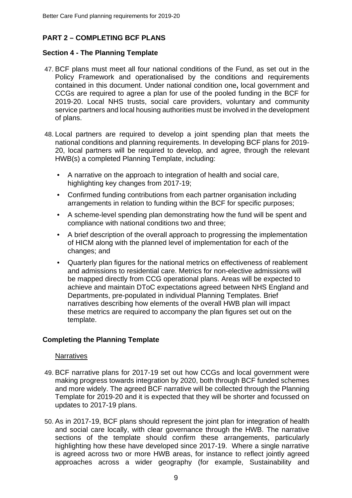# **PART 2 – COMPLETING BCF PLANS**

#### **Section 4 - The Planning Template**

- 47. BCF plans must meet all four national conditions of the Fund, as set out in the Policy Framework and operationalised by the conditions and requirements contained in this document. Under national condition one**,** local government and CCGs are required to agree a plan for use of the pooled funding in the BCF for 2019-20. Local NHS trusts, social care providers, voluntary and community service partners and local housing authorities must be involved in the development of plans.
- 48. Local partners are required to develop a joint spending plan that meets the national conditions and planning requirements. In developing BCF plans for 2019- 20, local partners will be required to develop, and agree, through the relevant HWB(s) a completed Planning Template, including:
	- A narrative on the approach to integration of health and social care, highlighting key changes from 2017-19;
	- Confirmed funding contributions from each partner organisation including arrangements in relation to funding within the BCF for specific purposes;
	- A scheme-level spending plan demonstrating how the fund will be spent and compliance with national conditions two and three;
	- A brief description of the overall approach to progressing the implementation of HICM along with the planned level of implementation for each of the changes; and
	- Quarterly plan figures for the national metrics on effectiveness of reablement and admissions to residential care. Metrics for non-elective admissions will be mapped directly from CCG operational plans. Areas will be expected to achieve and maintain DToC expectations agreed between NHS England and Departments, pre-populated in individual Planning Templates. Brief narratives describing how elements of the overall HWB plan will impact these metrics are required to accompany the plan figures set out on the template.

# **Completing the Planning Template**

#### **Narratives**

- 49. BCF narrative plans for 2017-19 set out how CCGs and local government were making progress towards integration by 2020, both through BCF funded schemes and more widely. The agreed BCF narrative will be collected through the Planning Template for 2019-20 and it is expected that they will be shorter and focussed on updates to 2017-19 plans.
- 50. As in 2017-19, BCF plans should represent the joint plan for integration of health and social care locally, with clear governance through the HWB. The narrative sections of the template should confirm these arrangements, particularly highlighting how these have developed since 2017-19. Where a single narrative is agreed across two or more HWB areas, for instance to reflect jointly agreed approaches across a wider geography (for example, Sustainability and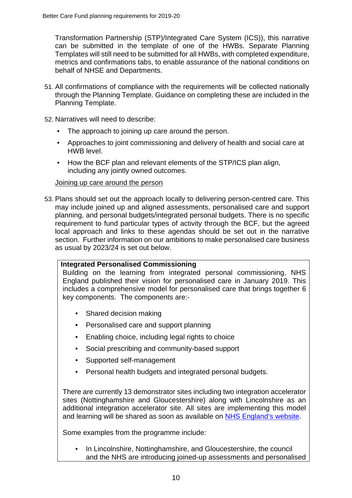Transformation Partnership (STP)/Integrated Care System (ICS)), this narrative can be submitted in the template of one of the HWBs. Separate Planning Templates will still need to be submitted for all HWBs, with completed expenditure, metrics and confirmations tabs, to enable assurance of the national conditions on behalf of NHSE and Departments.

- 51. All confirmations of compliance with the requirements will be collected nationally through the Planning Template. Guidance on completing these are included in the Planning Template.
- 52. Narratives will need to describe:
	- The approach to joining up care around the person.
	- Approaches to joint commissioning and delivery of health and social care at HWB level.
	- How the BCF plan and relevant elements of the STP/ICS plan align, including any jointly owned outcomes.

## Joining up care around the person

53. Plans should set out the approach locally to delivering person-centred care. This may include joined up and aligned assessments, personalised care and support planning, and personal budgets/integrated personal budgets. There is no specific requirement to fund particular types of activity through the BCF, but the agreed local approach and links to these agendas should be set out in the narrative section. Further information on our ambitions to make personalised care business as usual by 2023/24 is set out below.

#### **Integrated Personalised Commissioning**

Building on the learning from integrated personal commissioning, NHS England published their vision for personalised care in January 2019. This includes a comprehensive model for personalised care that brings together 6 key components. The components are:-

- Shared decision making
- Personalised care and support planning
- Enabling choice, including legal rights to choice
- Social prescribing and community-based support
- Supported self-management
- Personal health budgets and integrated personal budgets.

There are currently 13 demonstrator sites including two integration accelerator sites (Nottinghamshire and Gloucestershire) along with Lincolnshire as an additional integration accelerator site. All sites are implementing this model and learning will be shared as soon as available on [NHS England's](https://www.england.nhs.uk/personalisedcare/) website.

Some examples from the programme include:

In Lincolnshire, Nottinghamshire, and Gloucestershire, the council and the NHS are introducing joined-up assessments and personalised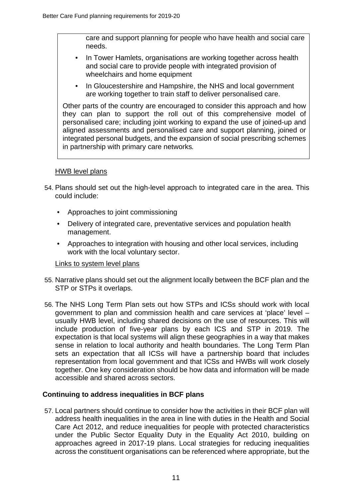care and support planning for people who have health and social care needs.

- In Tower Hamlets, organisations are working together across health and social care to provide people with integrated provision of wheelchairs and home equipment
- In Gloucestershire and Hampshire, the NHS and local government are working together to train staff to deliver personalised care.

Other parts of the country are encouraged to consider this approach and how they can plan to support the roll out of this comprehensive model of personalised care; including joint working to expand the use of joined-up and aligned assessments and personalised care and support planning, joined or integrated personal budgets, and the expansion of social prescribing schemes in partnership with primary care networks*.*

#### HWB level plans

- 54. Plans should set out the high-level approach to integrated care in the area. This could include:
	- Approaches to joint commissioning
	- Delivery of integrated care, preventative services and population health management.
	- Approaches to integration with housing and other local services, including work with the local voluntary sector.

#### Links to system level plans

- 55. Narrative plans should set out the alignment locally between the BCF plan and the STP or STPs it overlaps.
- 56. The NHS Long Term Plan sets out how STPs and ICSs should work with local government to plan and commission health and care services at 'place' level – usually HWB level, including shared decisions on the use of resources. This will include production of five-year plans by each ICS and STP in 2019. The expectation is that local systems will align these geographies in a way that makes sense in relation to local authority and health boundaries. The Long Term Plan sets an expectation that all ICSs will have a partnership board that includes representation from local government and that ICSs and HWBs will work closely together. One key consideration should be how data and information will be made accessible and shared across sectors.

#### **Continuing to address inequalities in BCF plans**

57. Local partners should continue to consider how the activities in their BCF plan will address health inequalities in the area in line with duties in the Health and Social Care Act 2012, and reduce inequalities for people with protected characteristics under the Public Sector Equality Duty in the Equality Act 2010, building on approaches agreed in 2017-19 plans. Local strategies for reducing inequalities across the constituent organisations can be referenced where appropriate, but the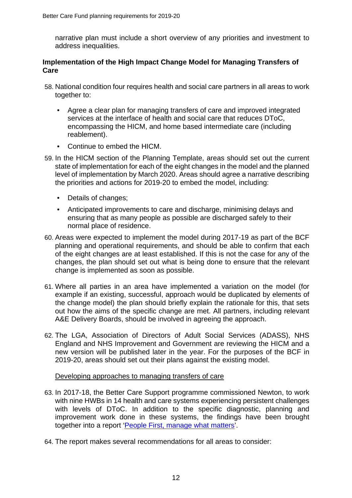narrative plan must include a short overview of any priorities and investment to address inequalities.

#### **Implementation of the High Impact Change Model for Managing Transfers of Care**

- 58. National condition four requires health and social care partners in all areas to work together to:
	- Agree a clear plan for managing transfers of care and improved integrated services at the interface of health and social care that reduces DToC, encompassing the HICM, and home based intermediate care (including reablement).
	- Continue to embed the HICM.
- 59. In the HICM section of the Planning Template, areas should set out the current state of implementation for each of the eight changes in the model and the planned level of implementation by March 2020. Areas should agree a narrative describing the priorities and actions for 2019-20 to embed the model, including:
	- Details of changes;
	- Anticipated improvements to care and discharge, minimising delays and ensuring that as many people as possible are discharged safely to their normal place of residence.
- 60. Areas were expected to implement the model during 2017-19 as part of the BCF planning and operational requirements, and should be able to confirm that each of the eight changes are at least established. If this is not the case for any of the changes, the plan should set out what is being done to ensure that the relevant change is implemented as soon as possible.
- 61. Where all parties in an area have implemented a variation on the model (for example if an existing, successful, approach would be duplicated by elements of the change model) the plan should briefly explain the rationale for this, that sets out how the aims of the specific change are met. All partners, including relevant A&E Delivery Boards, should be involved in agreeing the approach.
- 62. The LGA, Association of Directors of Adult Social Services (ADASS), NHS England and NHS Improvement and Government are reviewing the HICM and a new version will be published later in the year. For the purposes of the BCF in 2019-20, areas should set out their plans against the existing model.

#### Developing approaches to managing transfers of care

- 63. In 2017-18, the Better Care Support programme commissioned Newton, to work with nine HWBs in 14 health and care systems experiencing persistent challenges with levels of DToC. In addition to the specific diagnostic, planning and improvement work done in these systems, the findings have been brought together into a report ['People First, manage what matters'](https://www.local.gov.uk/our-support/our-improvement-offer/care-and-health-improvement/efficiency-and-sustainability-adult-0).
- 64. The report makes several recommendations for all areas to consider: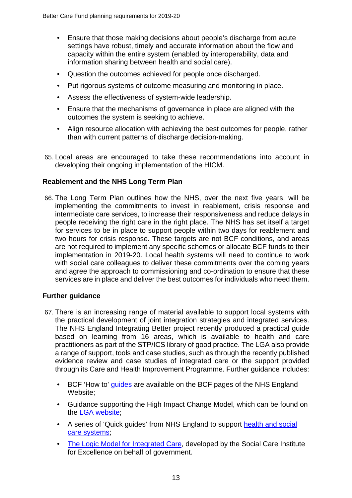- Ensure that those making decisions about people's discharge from acute settings have robust, timely and accurate information about the flow and capacity within the entire system (enabled by interoperability, data and information sharing between health and social care).
- Question the outcomes achieved for people once discharged.
- Put rigorous systems of outcome measuring and monitoring in place.
- Assess the effectiveness of system-wide leadership.
- Ensure that the mechanisms of governance in place are aligned with the outcomes the system is seeking to achieve.
- Align resource allocation with achieving the best outcomes for people, rather than with current patterns of discharge decision-making.
- 65. Local areas are encouraged to take these recommendations into account in developing their ongoing implementation of the HICM.

#### **Reablement and the NHS Long Term Plan**

66. The Long Term Plan outlines how the NHS, over the next five years, will be implementing the commitments to invest in reablement, crisis response and intermediate care services, to increase their responsiveness and reduce delays in people receiving the right care in the right place. The NHS has set itself a target for services to be in place to support people within two days for reablement and two hours for crisis response. These targets are not BCF conditions, and areas are not required to implement any specific schemes or allocate BCF funds to their implementation in 2019-20. Local health systems will need to continue to work with social care colleagues to deliver these commitments over the coming years and agree the approach to commissioning and co-ordination to ensure that these services are in place and deliver the best outcomes for individuals who need them.

#### **Further guidance**

- 67. There is an increasing range of material available to support local systems with the practical development of joint integration strategies and integrated services. The NHS England Integrating Better project recently produced a practical guide based on learning from 16 areas, which is available to health and care practitioners as part of the [STP/ICS library of good practice.](https://future.nhs.uk/connect.ti/Home/view?objectId=13912176#13912176) The LGA also provide a range of support, tools and case studies, such as through the recently published [evidence review and case studies of integrated care](https://www.local.gov.uk/our-support/our-improvement-offer/care-and-health-improvement/integration-and-better-care-fund/2018) or the support provided through its [Care and Health Improvement Programme.](https://www.local.gov.uk/our-support/our-improvement-offer/care-and-health-improvement/integration-and-better-care-fund/better-care-support-offer) Further guidance includes:
	- BCF 'How to' [guides](https://www.england.nhs.uk/ourwork/part-rel/transformation-fund/bcf-plan/) are available on the BCF pages of the NHS England Website;
	- Guidance supporting the High Impact Change Model, which can be found on the [LGA website;](https://www.local.gov.uk/our-support/our-improvement-offer/care-and-health-improvement/systems-resilience/high-impact-change-model)
	- A series of 'Quick guides' from NHS England to support health and social [care systems;](https://www.england.nhs.uk/urgent-emergency-care/hospital-to-home/quick-guides/)
	- [The Logic Model for Integrated Care,](https://www.scie.org.uk/integrated-health-social-care/measuring-progress/logic-model) developed by the Social Care Institute for Excellence on behalf of government.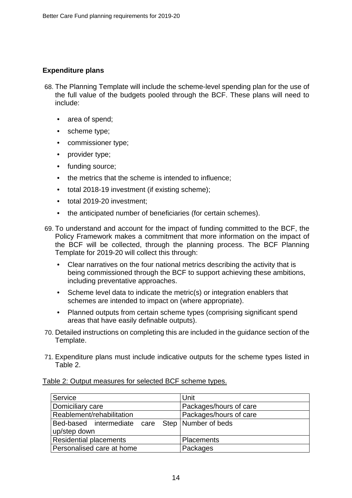## **Expenditure plans**

- 68. The Planning Template will include the scheme-level spending plan for the use of the full value of the budgets pooled through the BCF. These plans will need to include:
	- area of spend;
	- scheme type;
	- commissioner type;
	- provider type;
	- funding source:
	- the metrics that the scheme is intended to influence;
	- total 2018-19 investment (if existing scheme);
	- total 2019-20 investment;
	- the anticipated number of beneficiaries (for certain schemes).
- 69. To understand and account for the impact of funding committed to the BCF, the Policy Framework makes a commitment that more information on the impact of the BCF will be collected, through the planning process. The BCF Planning Template for 2019-20 will collect this through:
	- Clear narratives on the four national metrics describing the activity that is being commissioned through the BCF to support achieving these ambitions, including preventative approaches.
	- Scheme level data to indicate the metric(s) or integration enablers that schemes are intended to impact on (where appropriate).
	- Planned outputs from certain scheme types (comprising significant spend areas that have easily definable outputs).
- 70. Detailed instructions on completing this are included in the guidance section of the Template.
- 71. Expenditure plans must include indicative outputs for the scheme types listed in Table 2.

| Service                                            | Unit                   |  |
|----------------------------------------------------|------------------------|--|
| Domiciliary care                                   | Packages/hours of care |  |
| Reablement/rehabilitation                          | Packages/hours of care |  |
| Bed-based intermediate care Step Number of beds    |                        |  |
| up/step down                                       |                        |  |
| <b>Residential placements</b><br><b>Placements</b> |                        |  |
| Personalised care at home                          | Packages               |  |

Table 2: Output measures for selected BCF scheme types.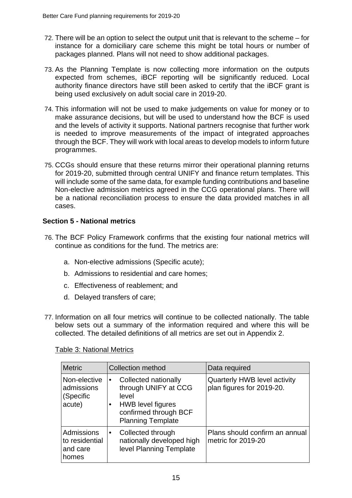- 72. There will be an option to select the output unit that is relevant to the scheme for instance for a domiciliary care scheme this might be total hours or number of packages planned. Plans will not need to show additional packages.
- 73. As the Planning Template is now collecting more information on the outputs expected from schemes, iBCF reporting will be significantly reduced. Local authority finance directors have still been asked to certify that the iBCF grant is being used exclusively on adult social care in 2019-20.
- 74. This information will not be used to make judgements on value for money or to make assurance decisions, but will be used to understand how the BCF is used and the levels of activity it supports. National partners recognise that further work is needed to improve measurements of the impact of integrated approaches through the BCF. They will work with local areas to develop models to inform future programmes.
- 75. CCGs should ensure that these returns mirror their operational planning returns for 2019-20, submitted through central UNIFY and finance return templates. This will include some of the same data, for example funding contributions and baseline Non-elective admission metrics agreed in the CCG operational plans. There will be a national reconciliation process to ensure the data provided matches in all cases.

# **Section 5 - National metrics**

- 76. The BCF Policy Framework confirms that the existing four national metrics will continue as conditions for the fund. The metrics are:
	- a. Non-elective admissions (Specific acute);
	- b. Admissions to residential and care homes;
	- c. Effectiveness of reablement; and
	- d. Delayed transfers of care;
- 77. Information on all four metrics will continue to be collected nationally. The table below sets out a summary of the information required and where this will be collected. The detailed definitions of all metrics are set out in Appendix 2.

#### Table 3: National Metrics

| <b>Metric</b>                                     | <b>Collection method</b><br>Data required                                                                                              |                                                           |
|---------------------------------------------------|----------------------------------------------------------------------------------------------------------------------------------------|-----------------------------------------------------------|
| Non-elective<br>admissions<br>(Specific<br>acute) | Collected nationally<br>through UNIFY at CCG<br>level<br><b>HWB</b> level figures<br>confirmed through BCF<br><b>Planning Template</b> | Quarterly HWB level activity<br>plan figures for 2019-20. |
| Admissions<br>to residential<br>and care<br>homes | Collected through<br>nationally developed high<br>level Planning Template                                                              | Plans should confirm an annual<br>metric for 2019-20      |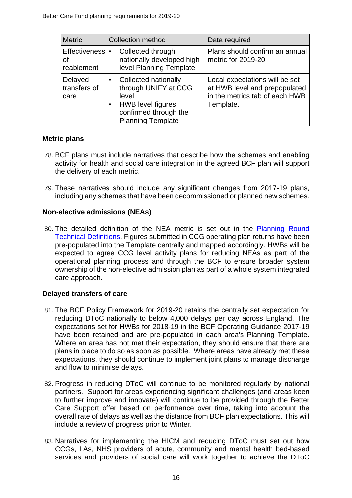| <b>Metric</b>                        | <b>Collection method</b>                                                                                                                            | Data required                                                                                                  |
|--------------------------------------|-----------------------------------------------------------------------------------------------------------------------------------------------------|----------------------------------------------------------------------------------------------------------------|
| Effectiveness  •<br>οf<br>reablement | Collected through<br>nationally developed high<br>level Planning Template                                                                           | Plans should confirm an annual<br>metric for 2019-20                                                           |
| Delayed<br>transfers of<br>care      | Collected nationally<br>$\bullet$<br>through UNIFY at CCG<br>level<br><b>HWB</b> level figures<br>confirmed through the<br><b>Planning Template</b> | Local expectations will be set<br>at HWB level and prepopulated<br>in the metrics tab of each HWB<br>Template. |

## **Metric plans**

- 78. BCF plans must include narratives that describe how the schemes and enabling activity for health and social care integration in the agreed BCF plan will support the delivery of each metric.
- 79. These narratives should include any significant changes from 2017-19 plans, including any schemes that have been decommissioned or planned new schemes.

#### **Non-elective admissions (NEAs)**

80. The detailed definition of the NEA metric is set out in the [Planning Round](https://www.england.nhs.uk/ourwork/futurenhs/deliver-forward-view/)  [Technical Definitions.](https://www.england.nhs.uk/ourwork/futurenhs/deliver-forward-view/) Figures submitted in CCG operating plan returns have been pre-populated into the Template centrally and mapped accordingly. HWBs will be expected to agree CCG level activity plans for reducing NEAs as part of the operational planning process and through the BCF to ensure broader system ownership of the non-elective admission plan as part of a whole system integrated care approach.

#### **Delayed transfers of care**

- 81. The BCF Policy Framework for 2019-20 retains the centrally set expectation for reducing DToC nationally to below 4,000 delays per day across England. The expectations set for HWBs for 2018-19 in the BCF Operating Guidance 2017-19 have been retained and are pre-populated in each area's Planning Template. Where an area has not met their expectation, they should ensure that there are plans in place to do so as soon as possible. Where areas have already met these expectations, they should continue to implement joint plans to manage discharge and flow to minimise delays.
- 82. Progress in reducing DToC will continue to be monitored regularly by national partners. Support for areas experiencing significant challenges (and areas keen to further improve and innovate) will continue to be provided through the Better Care Support offer based on performance over time, taking into account the overall rate of delays as well as the distance from BCF plan expectations. This will include a review of progress prior to Winter.
- 83. Narratives for implementing the HICM and reducing DToC must set out how CCGs, LAs, NHS providers of acute, community and mental health bed-based services and providers of social care will work together to achieve the DToC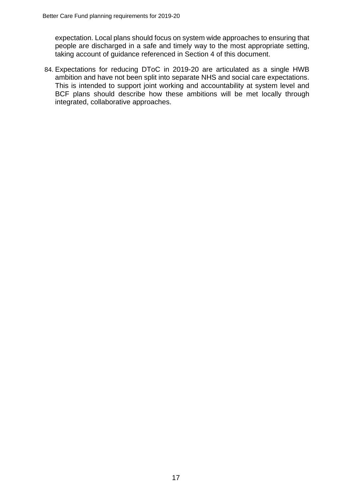expectation. Local plans should focus on system wide approaches to ensuring that people are discharged in a safe and timely way to the most appropriate setting, taking account of guidance referenced in Section 4 of this document.

84. Expectations for reducing DToC in 2019-20 are articulated as a single HWB ambition and have not been split into separate NHS and social care expectations. This is intended to support joint working and accountability at system level and BCF plans should describe how these ambitions will be met locally through integrated, collaborative approaches.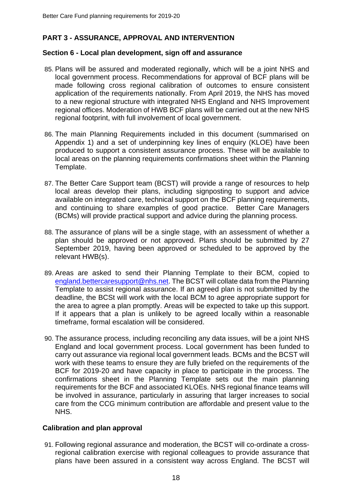# **PART 3 - ASSURANCE, APPROVAL AND INTERVENTION**

#### **Section 6 - Local plan development, sign off and assurance**

- 85. Plans will be assured and moderated regionally, which will be a joint NHS and local government process. Recommendations for approval of BCF plans will be made following cross regional calibration of outcomes to ensure consistent application of the requirements nationally. From April 2019, the NHS has moved to a new regional structure with integrated NHS England and NHS Improvement regional offices. Moderation of HWB BCF plans will be carried out at the new NHS regional footprint, with full involvement of local government.
- 86. The main Planning Requirements included in this document (summarised on Appendix 1) and a set of underpinning key lines of enquiry (KLOE) have been produced to support a consistent assurance process. These will be available to local areas on the planning requirements confirmations sheet within the Planning Template.
- 87. The Better Care Support team (BCST) will provide a range of resources to help local areas develop their plans, including signposting to support and advice available on integrated care, technical support on the BCF planning requirements, and continuing to share examples of good practice. Better Care Managers (BCMs) will provide practical support and advice during the planning process.
- 88. The assurance of plans will be a single stage, with an assessment of whether a plan should be approved or not approved. Plans should be submitted by 27 September 2019, having been approved or scheduled to be approved by the relevant HWB(s).
- 89. Areas are asked to send their Planning Template to their BCM, copied to [england.bettercaresupport@nhs.net.](mailto:england.bettercaresupport@nhs.net) The BCST will collate data from the Planning Template to assist regional assurance. If an agreed plan is not submitted by the deadline, the BCSt will work with the local BCM to agree appropriate support for the area to agree a plan promptly. Areas will be expected to take up this support. If it appears that a plan is unlikely to be agreed locally within a reasonable timeframe, formal escalation will be considered.
- 90. The assurance process, including reconciling any data issues, will be a joint NHS England and local government process. Local government has been funded to carry out assurance via regional local government leads. BCMs and the BCST will work with these teams to ensure they are fully briefed on the requirements of the BCF for 2019-20 and have capacity in place to participate in the process. The confirmations sheet in the Planning Template sets out the main planning requirements for the BCF and associated KLOEs. NHS regional finance teams will be involved in assurance, particularly in assuring that larger increases to social care from the CCG minimum contribution are affordable and present value to the NHS.

#### **Calibration and plan approval**

91. Following regional assurance and moderation, the BCST will co-ordinate a crossregional calibration exercise with regional colleagues to provide assurance that plans have been assured in a consistent way across England. The BCST will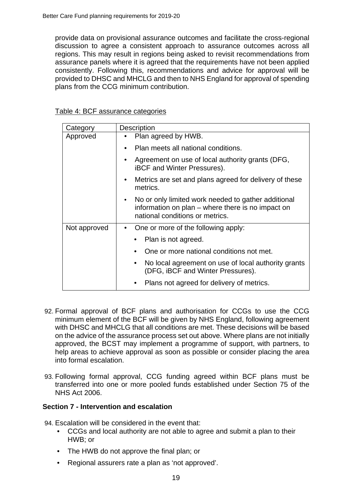provide data on provisional assurance outcomes and facilitate the cross-regional discussion to agree a consistent approach to assurance outcomes across all regions. This may result in regions being asked to revisit recommendations from assurance panels where it is agreed that the requirements have not been applied consistently. Following this, recommendations and advice for approval will be provided to DHSC and MHCLG and then to NHS England for approval of spending plans from the CCG minimum contribution.

| Category     | <b>Description</b>                                                                                                                          |  |
|--------------|---------------------------------------------------------------------------------------------------------------------------------------------|--|
| Approved     | Plan agreed by HWB.                                                                                                                         |  |
|              | Plan meets all national conditions.                                                                                                         |  |
|              | Agreement on use of local authority grants (DFG,<br><b>iBCF</b> and Winter Pressures).                                                      |  |
|              | Metrics are set and plans agreed for delivery of these<br>metrics.                                                                          |  |
|              | No or only limited work needed to gather additional<br>information on plan – where there is no impact on<br>national conditions or metrics. |  |
| Not approved | One or more of the following apply:                                                                                                         |  |
|              | Plan is not agreed.                                                                                                                         |  |
|              | One or more national conditions not met.                                                                                                    |  |
|              | No local agreement on use of local authority grants<br>(DFG, iBCF and Winter Pressures).                                                    |  |
|              | Plans not agreed for delivery of metrics.                                                                                                   |  |

#### Table 4: BCF assurance categories

- 92. Formal approval of BCF plans and authorisation for CCGs to use the CCG minimum element of the BCF will be given by NHS England, following agreement with DHSC and MHCLG that all conditions are met. These decisions will be based on the advice of the assurance process set out above. Where plans are not initially approved, the BCST may implement a programme of support, with partners, to help areas to achieve approval as soon as possible or consider placing the area into formal escalation.
- 93. Following formal approval, CCG funding agreed within BCF plans must be transferred into one or more pooled funds established under Section 75 of the NHS Act 2006.

#### **Section 7 - Intervention and escalation**

94. Escalation will be considered in the event that:

- CCGs and local authority are not able to agree and submit a plan to their HWB; or
- The HWB do not approve the final plan; or
- Regional assurers rate a plan as 'not approved'.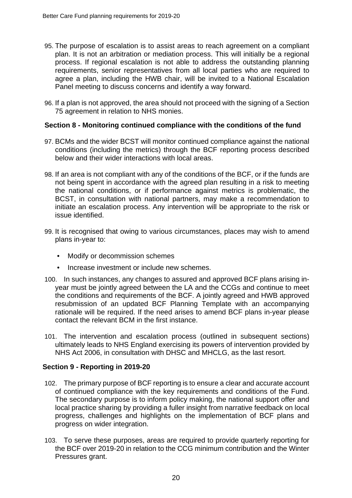- 95. The purpose of escalation is to assist areas to reach agreement on a compliant plan. It is not an arbitration or mediation process. This will initially be a regional process. If regional escalation is not able to address the outstanding planning requirements, senior representatives from all local parties who are required to agree a plan, including the HWB chair, will be invited to a National Escalation Panel meeting to discuss concerns and identify a way forward.
- 96. If a plan is not approved, the area should not proceed with the signing of a Section 75 agreement in relation to NHS monies.

#### **Section 8 - Monitoring continued compliance with the conditions of the fund**

- 97. BCMs and the wider BCST will monitor continued compliance against the national conditions (including the metrics) through the BCF reporting process described below and their wider interactions with local areas.
- 98. If an area is not compliant with any of the conditions of the BCF, or if the funds are not being spent in accordance with the agreed plan resulting in a risk to meeting the national conditions, or if performance against metrics is problematic, the BCST, in consultation with national partners, may make a recommendation to initiate an escalation process. Any intervention will be appropriate to the risk or issue identified.
- 99. It is recognised that owing to various circumstances, places may wish to amend plans in-year to:
	- Modify or decommission schemes
	- Increase investment or include new schemes.
- 100. In such instances, any changes to assured and approved BCF plans arising inyear must be jointly agreed between the LA and the CCGs and continue to meet the conditions and requirements of the BCF. A jointly agreed and HWB approved resubmission of an updated BCF Planning Template with an accompanying rationale will be required. If the need arises to amend BCF plans in-year please contact the relevant BCM in the first instance.
- 101. The intervention and escalation process (outlined in subsequent sections) ultimately leads to NHS England exercising its powers of intervention provided by NHS Act 2006, in consultation with DHSC and MHCLG, as the last resort.

#### **Section 9 - Reporting in 2019-20**

- 102. The primary purpose of BCF reporting is to ensure a clear and accurate account of continued compliance with the key requirements and conditions of the Fund. The secondary purpose is to inform policy making, the national support offer and local practice sharing by providing a fuller insight from narrative feedback on local progress, challenges and highlights on the implementation of BCF plans and progress on wider integration.
- 103. To serve these purposes, areas are required to provide quarterly reporting for the BCF over 2019-20 in relation to the CCG minimum contribution and the Winter Pressures grant.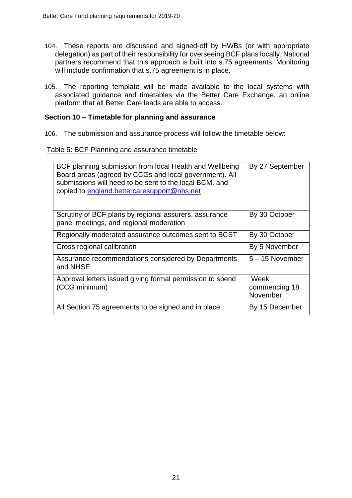- 104. These reports are discussed and signed-off by HWBs (or with appropriate delegation) as part of their responsibility for overseeing BCF plans locally. National partners recommend that this approach is built into s.75 agreements. Monitoring will include confirmation that s.75 agreement is in place.
- 105. The reporting template will be made available to the local systems with associated guidance and timetables via the Better Care Exchange, an online platform that all Better Care leads are able to access.

#### **Section 10 – Timetable for planning and assurance**

106. The submission and assurance process will follow the timetable below:

#### Table 5: BCF Planning and assurance timetable

| BCF planning submission from local Health and Wellbeing<br>Board areas (agreed by CCGs and local government). All<br>submissions will need to be sent to the local BCM, and<br>copied to england.bettercaresupport@nhs.net | By 27 September                   |
|----------------------------------------------------------------------------------------------------------------------------------------------------------------------------------------------------------------------------|-----------------------------------|
| Scrutiny of BCF plans by regional assurers, assurance<br>panel meetings, and regional moderation                                                                                                                           | By 30 October                     |
| Regionally moderated assurance outcomes sent to BCST                                                                                                                                                                       | By 30 October                     |
| Cross regional calibration                                                                                                                                                                                                 | By 5 November                     |
| Assurance recommendations considered by Departments<br>and NHSE                                                                                                                                                            | $5 - 15$ November                 |
| Approval letters issued giving formal permission to spend<br>(CCG minimum)                                                                                                                                                 | Week<br>commencing 18<br>November |
| All Section 75 agreements to be signed and in place                                                                                                                                                                        | By 15 December                    |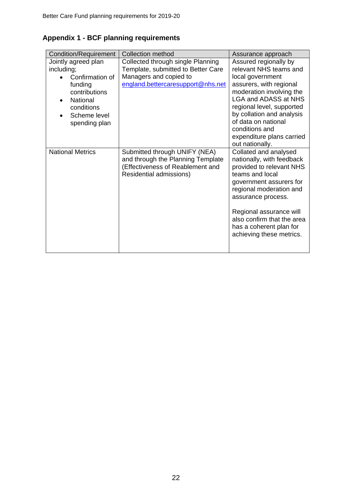|  |  |  | <b>Appendix 1 - BCF planning requirements</b> |
|--|--|--|-----------------------------------------------|
|--|--|--|-----------------------------------------------|

| Condition/Requirement                                                                                                                       | <b>Collection method</b>                                                                                                               | Assurance approach                                                                                                                                                                                                                                                                                           |
|---------------------------------------------------------------------------------------------------------------------------------------------|----------------------------------------------------------------------------------------------------------------------------------------|--------------------------------------------------------------------------------------------------------------------------------------------------------------------------------------------------------------------------------------------------------------------------------------------------------------|
| Jointly agreed plan<br>including;<br>Confirmation of<br>funding<br>contributions<br>National<br>conditions<br>Scheme level<br>spending plan | Collected through single Planning<br>Template, submitted to Better Care<br>Managers and copied to<br>england.bettercaresupport@nhs.net | Assured regionally by<br>relevant NHS teams and<br>local government<br>assurers, with regional<br>moderation involving the<br><b>LGA and ADASS at NHS</b><br>regional level, supported<br>by collation and analysis<br>of data on national<br>conditions and<br>expenditure plans carried<br>out nationally. |
| <b>National Metrics</b>                                                                                                                     | Submitted through UNIFY (NEA)<br>and through the Planning Template<br>(Effectiveness of Reablement and<br>Residential admissions)      | Collated and analysed<br>nationally, with feedback<br>provided to relevant NHS<br>teams and local<br>government assurers for<br>regional moderation and<br>assurance process.<br>Regional assurance will<br>also confirm that the area<br>has a coherent plan for<br>achieving these metrics.                |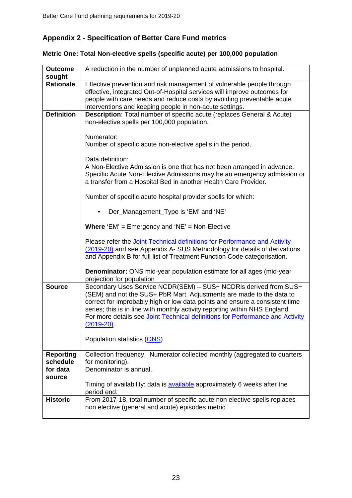# **Appendix 2 - Specification of Better Care Fund metrics**

# **Metric One: Total Non-elective spells (specific acute) per 100,000 population**

| <b>Outcome</b><br>sought                           | A reduction in the number of unplanned acute admissions to hospital.                                                                                                                                                                                                                                                                                                                                   |
|----------------------------------------------------|--------------------------------------------------------------------------------------------------------------------------------------------------------------------------------------------------------------------------------------------------------------------------------------------------------------------------------------------------------------------------------------------------------|
| <b>Rationale</b>                                   | Effective prevention and risk management of vulnerable people through<br>effective, integrated Out-of-Hospital services will improve outcomes for<br>people with care needs and reduce costs by avoiding preventable acute<br>interventions and keeping people in non-acute settings.                                                                                                                  |
| <b>Definition</b>                                  | Description: Total number of specific acute (replaces General & Acute)<br>non-elective spells per 100,000 population.                                                                                                                                                                                                                                                                                  |
|                                                    | Numerator:<br>Number of specific acute non-elective spells in the period.                                                                                                                                                                                                                                                                                                                              |
|                                                    | Data definition:<br>A Non-Elective Admission is one that has not been arranged in advance.<br>Specific Acute Non-Elective Admissions may be an emergency admission or<br>a transfer from a Hospital Bed in another Health Care Provider.                                                                                                                                                               |
|                                                    | Number of specific acute hospital provider spells for which:                                                                                                                                                                                                                                                                                                                                           |
|                                                    | Der_Management_Type is 'EM' and 'NE'                                                                                                                                                                                                                                                                                                                                                                   |
|                                                    | <b>Where 'EM'</b> = Emergency and 'NE' = Non-Elective                                                                                                                                                                                                                                                                                                                                                  |
|                                                    | Please refer the Joint Technical definitions for Performance and Activity<br>(2019-20) and see Appendix A- SUS Methodology for details of derivations<br>and Appendix B for full list of Treatment Function Code categorisation.                                                                                                                                                                       |
|                                                    | Denominator: ONS mid-year population estimate for all ages (mid-year<br>projection for population                                                                                                                                                                                                                                                                                                      |
| <b>Source</b>                                      | Secondary Uses Service NCDR(SEM) - SUS+ NCDRis derived from SUS+<br>(SEM) and not the SUS+ PbR Mart. Adjustments are made to the data to<br>correct for improbably high or low data points and ensure a consistent time<br>series; this is in line with monthly activity reporting within NHS England.<br>For more details see Joint Technical definitions for Performance and Activity<br>$(2019-20)$ |
|                                                    | Population statistics (ONS)                                                                                                                                                                                                                                                                                                                                                                            |
| <b>Reporting</b><br>schedule<br>for data<br>source | Collection frequency: Numerator collected monthly (aggregated to quarters<br>for monitoring).<br>Denominator is annual.                                                                                                                                                                                                                                                                                |
|                                                    | Timing of availability: data is <b>available</b> approximately 6 weeks after the<br>period end.                                                                                                                                                                                                                                                                                                        |
| <b>Historic</b>                                    | From 2017-18, total number of specific acute non elective spells replaces<br>non elective (general and acute) episodes metric                                                                                                                                                                                                                                                                          |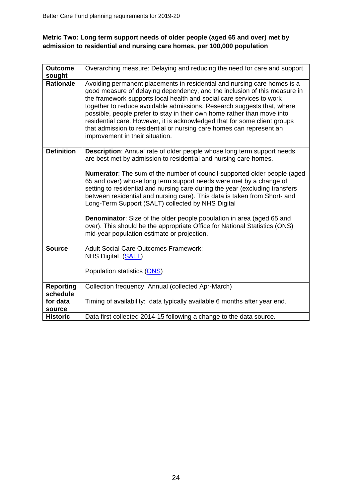# **Metric Two: Long term support needs of older people (aged 65 and over) met by admission to residential and nursing care homes, per 100,000 population**

| <b>Outcome</b>    | Overarching measure: Delaying and reducing the need for care and support.                                                                                                                                                                                                                                                                                                                                                                                                                                                                                                                                                                                                                  |
|-------------------|--------------------------------------------------------------------------------------------------------------------------------------------------------------------------------------------------------------------------------------------------------------------------------------------------------------------------------------------------------------------------------------------------------------------------------------------------------------------------------------------------------------------------------------------------------------------------------------------------------------------------------------------------------------------------------------------|
| sought            |                                                                                                                                                                                                                                                                                                                                                                                                                                                                                                                                                                                                                                                                                            |
| <b>Rationale</b>  | Avoiding permanent placements in residential and nursing care homes is a<br>good measure of delaying dependency, and the inclusion of this measure in<br>the framework supports local health and social care services to work<br>together to reduce avoidable admissions. Research suggests that, where<br>possible, people prefer to stay in their own home rather than move into<br>residential care. However, it is acknowledged that for some client groups<br>that admission to residential or nursing care homes can represent an<br>improvement in their situation.                                                                                                                 |
| <b>Definition</b> | <b>Description:</b> Annual rate of older people whose long term support needs<br>are best met by admission to residential and nursing care homes.<br><b>Numerator:</b> The sum of the number of council-supported older people (aged<br>65 and over) whose long term support needs were met by a change of<br>setting to residential and nursing care during the year (excluding transfers<br>between residential and nursing care). This data is taken from Short- and<br>Long-Term Support (SALT) collected by NHS Digital<br><b>Denominator:</b> Size of the older people population in area (aged 65 and<br>over). This should be the appropriate Office for National Statistics (ONS) |
|                   | mid-year population estimate or projection.                                                                                                                                                                                                                                                                                                                                                                                                                                                                                                                                                                                                                                                |
| <b>Source</b>     | <b>Adult Social Care Outcomes Framework:</b><br>NHS Digital ( <b>SALT</b> )<br>Population statistics (ONS)                                                                                                                                                                                                                                                                                                                                                                                                                                                                                                                                                                                 |
| <b>Reporting</b>  | Collection frequency: Annual (collected Apr-March)                                                                                                                                                                                                                                                                                                                                                                                                                                                                                                                                                                                                                                         |
| schedule          |                                                                                                                                                                                                                                                                                                                                                                                                                                                                                                                                                                                                                                                                                            |
| for data          | Timing of availability: data typically available 6 months after year end.                                                                                                                                                                                                                                                                                                                                                                                                                                                                                                                                                                                                                  |
| source            |                                                                                                                                                                                                                                                                                                                                                                                                                                                                                                                                                                                                                                                                                            |
| <b>Historic</b>   | Data first collected 2014-15 following a change to the data source.                                                                                                                                                                                                                                                                                                                                                                                                                                                                                                                                                                                                                        |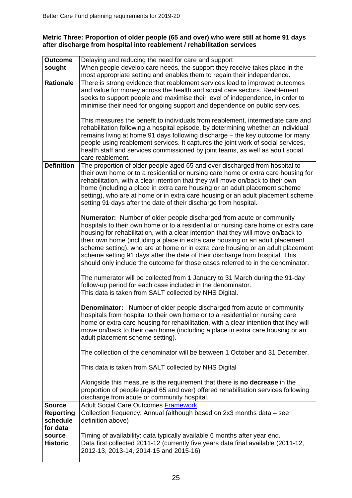#### **Metric Three: Proportion of older people (65 and over) who were still at home 91 days after discharge from hospital into reablement / rehabilitation services**

| <b>Outcome</b>    | Delaying and reducing the need for care and support                                                                                                              |  |
|-------------------|------------------------------------------------------------------------------------------------------------------------------------------------------------------|--|
| sought            | When people develop care needs, the support they receive takes place in the                                                                                      |  |
|                   | most appropriate setting and enables them to regain their independence.                                                                                          |  |
| <b>Rationale</b>  | There is strong evidence that reablement services lead to improved outcomes                                                                                      |  |
|                   | and value for money across the health and social care sectors. Reablement                                                                                        |  |
|                   | seeks to support people and maximise their level of independence, in order to                                                                                    |  |
|                   | minimise their need for ongoing support and dependence on public services.                                                                                       |  |
|                   |                                                                                                                                                                  |  |
|                   | This measures the benefit to individuals from reablement, intermediate care and                                                                                  |  |
|                   | rehabilitation following a hospital episode, by determining whether an individual                                                                                |  |
|                   | remains living at home 91 days following discharge - the key outcome for many                                                                                    |  |
|                   | people using reablement services. It captures the joint work of social services,                                                                                 |  |
|                   | health staff and services commissioned by joint teams, as well as adult social                                                                                   |  |
| <b>Definition</b> | care reablement.                                                                                                                                                 |  |
|                   | The proportion of older people aged 65 and over discharged from hospital to<br>their own home or to a residential or nursing care home or extra care housing for |  |
|                   | rehabilitation, with a clear intention that they will move on/back to their own                                                                                  |  |
|                   | home (including a place in extra care housing or an adult placement scheme                                                                                       |  |
|                   | setting), who are at home or in extra care housing or an adult placement scheme                                                                                  |  |
|                   | setting 91 days after the date of their discharge from hospital.                                                                                                 |  |
|                   |                                                                                                                                                                  |  |
|                   | <b>Numerator:</b> Number of older people discharged from acute or community                                                                                      |  |
|                   | hospitals to their own home or to a residential or nursing care home or extra care                                                                               |  |
|                   | housing for rehabilitation, with a clear intention that they will move on/back to                                                                                |  |
|                   | their own home (including a place in extra care housing or an adult placement                                                                                    |  |
|                   | scheme setting), who are at home or in extra care housing or an adult placement                                                                                  |  |
|                   | scheme setting 91 days after the date of their discharge from hospital. This                                                                                     |  |
|                   | should only include the outcome for those cases referred to in the denominator.                                                                                  |  |
|                   |                                                                                                                                                                  |  |
|                   | The numerator will be collected from 1 January to 31 March during the 91-day<br>follow-up period for each case included in the denominator.                      |  |
|                   | This data is taken from SALT collected by NHS Digital.                                                                                                           |  |
|                   |                                                                                                                                                                  |  |
|                   | <b>Denominator:</b> Number of older people discharged from acute or community                                                                                    |  |
|                   | hospitals from hospital to their own home or to a residential or nursing care                                                                                    |  |
|                   | home or extra care housing for rehabilitation, with a clear intention that they will                                                                             |  |
|                   | move on/back to their own home (including a place in extra care housing or an                                                                                    |  |
|                   | adult placement scheme setting).                                                                                                                                 |  |
|                   |                                                                                                                                                                  |  |
|                   | The collection of the denominator will be between 1 October and 31 December.                                                                                     |  |
|                   |                                                                                                                                                                  |  |
|                   | This data is taken from SALT collected by NHS Digital                                                                                                            |  |
|                   | Alongside this measure is the requirement that there is no decrease in the                                                                                       |  |
|                   | proportion of people (aged 65 and over) offered rehabilitation services following                                                                                |  |
|                   | discharge from acute or community hospital.                                                                                                                      |  |
| <b>Source</b>     | <b>Adult Social Care Outcomes Framework</b>                                                                                                                      |  |
| <b>Reporting</b>  | Collection frequency: Annual (although based on 2x3 months data - see                                                                                            |  |
| schedule          | definition above)                                                                                                                                                |  |
| for data          |                                                                                                                                                                  |  |
| source            | Timing of availability: data typically available 6 months after year end.                                                                                        |  |
| <b>Historic</b>   | Data first collected 2011-12 (currently five years data final available (2011-12,                                                                                |  |
|                   | 2012-13, 2013-14, 2014-15 and 2015-16)                                                                                                                           |  |
|                   |                                                                                                                                                                  |  |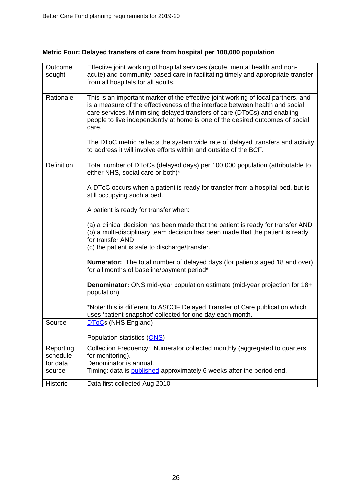| Outcome<br>sought     | Effective joint working of hospital services (acute, mental health and non-<br>acute) and community-based care in facilitating timely and appropriate transfer<br>from all hospitals for all adults.                                                                                                                                    |
|-----------------------|-----------------------------------------------------------------------------------------------------------------------------------------------------------------------------------------------------------------------------------------------------------------------------------------------------------------------------------------|
| Rationale             | This is an important marker of the effective joint working of local partners, and<br>is a measure of the effectiveness of the interface between health and social<br>care services. Minimising delayed transfers of care (DToCs) and enabling<br>people to live independently at home is one of the desired outcomes of social<br>care. |
|                       | The DToC metric reflects the system wide rate of delayed transfers and activity<br>to address it will involve efforts within and outside of the BCF.                                                                                                                                                                                    |
| <b>Definition</b>     | Total number of DToCs (delayed days) per 100,000 population (attributable to<br>either NHS, social care or both)*                                                                                                                                                                                                                       |
|                       | A DToC occurs when a patient is ready for transfer from a hospital bed, but is<br>still occupying such a bed.                                                                                                                                                                                                                           |
|                       | A patient is ready for transfer when:                                                                                                                                                                                                                                                                                                   |
|                       | (a) a clinical decision has been made that the patient is ready for transfer AND<br>(b) a multi-disciplinary team decision has been made that the patient is ready<br>for transfer AND<br>(c) the patient is safe to discharge/transfer.                                                                                                |
|                       | <b>Numerator:</b> The total number of delayed days (for patients aged 18 and over)<br>for all months of baseline/payment period*                                                                                                                                                                                                        |
|                       | <b>Denominator:</b> ONS mid-year population estimate (mid-year projection for 18+<br>population)                                                                                                                                                                                                                                        |
|                       | *Note: this is different to ASCOF Delayed Transfer of Care publication which<br>uses 'patient snapshot' collected for one day each month.                                                                                                                                                                                               |
| Source                | <b>DToCs (NHS England)</b>                                                                                                                                                                                                                                                                                                              |
|                       | Population statistics (ONS)                                                                                                                                                                                                                                                                                                             |
| Reporting<br>schedule | Collection Frequency: Numerator collected monthly (aggregated to quarters<br>for monitoring).                                                                                                                                                                                                                                           |
| for data<br>source    | Denominator is annual.<br>Timing: data is published approximately 6 weeks after the period end.                                                                                                                                                                                                                                         |
| Historic              | Data first collected Aug 2010                                                                                                                                                                                                                                                                                                           |

# **Metric Four: Delayed transfers of care from hospital per 100,000 population**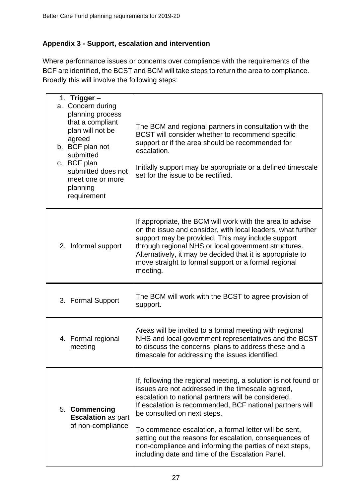# **Appendix 3 - Support, escalation and intervention**

Where performance issues or concerns over compliance with the requirements of the BCF are identified, the BCST and BCM will take steps to return the area to compliance. Broadly this will involve the following steps:

| 1. Trigger –<br>a. Concern during<br>planning process<br>that a compliant<br>plan will not be<br>agreed<br>b. BCF plan not<br>submitted<br>c. BCF plan<br>submitted does not<br>meet one or more<br>planning<br>requirement | The BCM and regional partners in consultation with the<br>BCST will consider whether to recommend specific<br>support or if the area should be recommended for<br>escalation.<br>Initially support may be appropriate or a defined timescale<br>set for the issue to be rectified.                                                                                                                                                                                                                       |
|-----------------------------------------------------------------------------------------------------------------------------------------------------------------------------------------------------------------------------|----------------------------------------------------------------------------------------------------------------------------------------------------------------------------------------------------------------------------------------------------------------------------------------------------------------------------------------------------------------------------------------------------------------------------------------------------------------------------------------------------------|
| 2. Informal support                                                                                                                                                                                                         | If appropriate, the BCM will work with the area to advise<br>on the issue and consider, with local leaders, what further<br>support may be provided. This may include support<br>through regional NHS or local government structures.<br>Alternatively, it may be decided that it is appropriate to<br>move straight to formal support or a formal regional<br>meeting.                                                                                                                                  |
| 3. Formal Support                                                                                                                                                                                                           | The BCM will work with the BCST to agree provision of<br>support.                                                                                                                                                                                                                                                                                                                                                                                                                                        |
| 4. Formal regional<br>meeting                                                                                                                                                                                               | Areas will be invited to a formal meeting with regional<br>NHS and local government representatives and the BCST<br>to discuss the concerns, plans to address these and a<br>timescale for addressing the issues identified.                                                                                                                                                                                                                                                                             |
| 5. Commencing<br><b>Escalation as part</b><br>of non-compliance                                                                                                                                                             | If, following the regional meeting, a solution is not found or<br>issues are not addressed in the timescale agreed,<br>escalation to national partners will be considered.<br>If escalation is recommended, BCF national partners will<br>be consulted on next steps.<br>To commence escalation, a formal letter will be sent,<br>setting out the reasons for escalation, consequences of<br>non-compliance and informing the parties of next steps,<br>including date and time of the Escalation Panel. |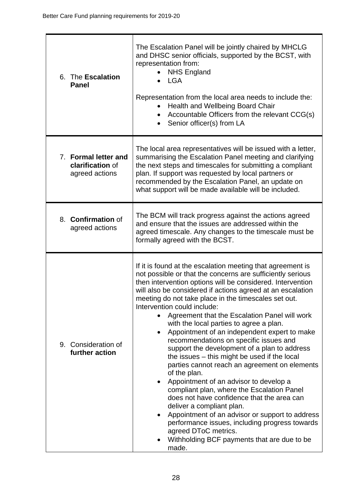| 6. The Escalation<br><b>Panel</b>                          | The Escalation Panel will be jointly chaired by MHCLG<br>and DHSC senior officials, supported by the BCST, with<br>representation from:<br><b>NHS England</b><br><b>LGA</b><br>Representation from the local area needs to include the:<br><b>Health and Wellbeing Board Chair</b><br>Accountable Officers from the relevant CCG(s)<br>Senior officer(s) from LA<br>$\bullet$                                                                                                                                                                                                                                                                                                                                                                                                                                                                                                                                                                                                                                                                                                                          |
|------------------------------------------------------------|--------------------------------------------------------------------------------------------------------------------------------------------------------------------------------------------------------------------------------------------------------------------------------------------------------------------------------------------------------------------------------------------------------------------------------------------------------------------------------------------------------------------------------------------------------------------------------------------------------------------------------------------------------------------------------------------------------------------------------------------------------------------------------------------------------------------------------------------------------------------------------------------------------------------------------------------------------------------------------------------------------------------------------------------------------------------------------------------------------|
| 7. Formal letter and<br>clarification of<br>agreed actions | The local area representatives will be issued with a letter,<br>summarising the Escalation Panel meeting and clarifying<br>the next steps and timescales for submitting a compliant<br>plan. If support was requested by local partners or<br>recommended by the Escalation Panel, an update on<br>what support will be made available will be included.                                                                                                                                                                                                                                                                                                                                                                                                                                                                                                                                                                                                                                                                                                                                               |
| 8. <b>Confirmation</b> of<br>agreed actions                | The BCM will track progress against the actions agreed<br>and ensure that the issues are addressed within the<br>agreed timescale. Any changes to the timescale must be<br>formally agreed with the BCST.                                                                                                                                                                                                                                                                                                                                                                                                                                                                                                                                                                                                                                                                                                                                                                                                                                                                                              |
| 9. Consideration of<br>further action                      | If it is found at the escalation meeting that agreement is<br>not possible or that the concerns are sufficiently serious<br>then intervention options will be considered. Intervention<br>will also be considered if actions agreed at an escalation<br>meeting do not take place in the timescales set out.<br>Intervention could include:<br>Agreement that the Escalation Panel will work<br>$\bullet$<br>with the local parties to agree a plan.<br>Appointment of an independent expert to make<br>٠<br>recommendations on specific issues and<br>support the development of a plan to address<br>the issues – this might be used if the local<br>parties cannot reach an agreement on elements<br>of the plan.<br>Appointment of an advisor to develop a<br>compliant plan, where the Escalation Panel<br>does not have confidence that the area can<br>deliver a compliant plan.<br>Appointment of an advisor or support to address<br>$\bullet$<br>performance issues, including progress towards<br>agreed DToC metrics.<br>Withholding BCF payments that are due to be<br>$\bullet$<br>made. |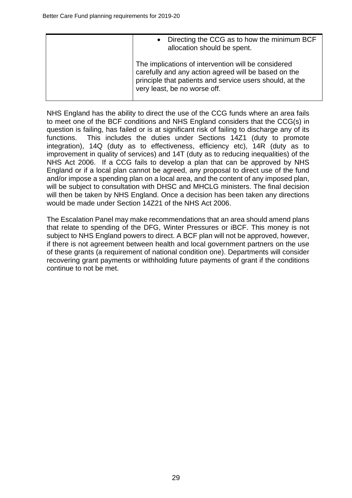|  | Directing the CCG as to how the minimum BCF<br>allocation should be spent.                                                                                                                              |
|--|---------------------------------------------------------------------------------------------------------------------------------------------------------------------------------------------------------|
|  | The implications of intervention will be considered<br>carefully and any action agreed will be based on the<br>principle that patients and service users should, at the<br>very least, be no worse off. |

NHS England has the ability to direct the use of the CCG funds where an area fails to meet one of the BCF conditions and NHS England considers that the CCG(s) in question is failing, has failed or is at significant risk of failing to discharge any of its functions. This includes the duties under Sections 14Z1 (duty to promote integration), 14Q (duty as to effectiveness, efficiency etc), 14R (duty as to improvement in quality of services) and 14T (duty as to reducing inequalities) of the NHS Act 2006. If a CCG fails to develop a plan that can be approved by NHS England or if a local plan cannot be agreed, any proposal to direct use of the fund and/or impose a spending plan on a local area, and the content of any imposed plan, will be subject to consultation with DHSC and MHCLG ministers. The final decision will then be taken by NHS England. Once a decision has been taken any directions would be made under Section 14Z21 of the NHS Act 2006.

The Escalation Panel may make recommendations that an area should amend plans that relate to spending of the DFG, Winter Pressures or iBCF. This money is not subject to NHS England powers to direct. A BCF plan will not be approved, however, if there is not agreement between health and local government partners on the use of these grants (a requirement of national condition one). Departments will consider recovering grant payments or withholding future payments of grant if the conditions continue to not be met.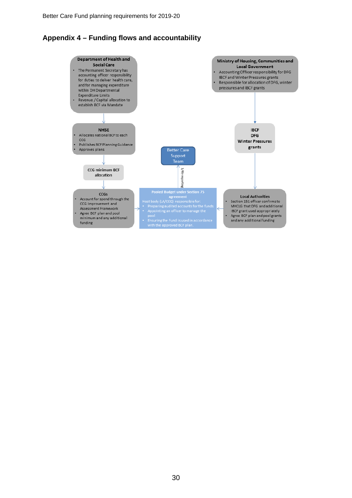# **Appendix 4 – Funding flows and accountability**